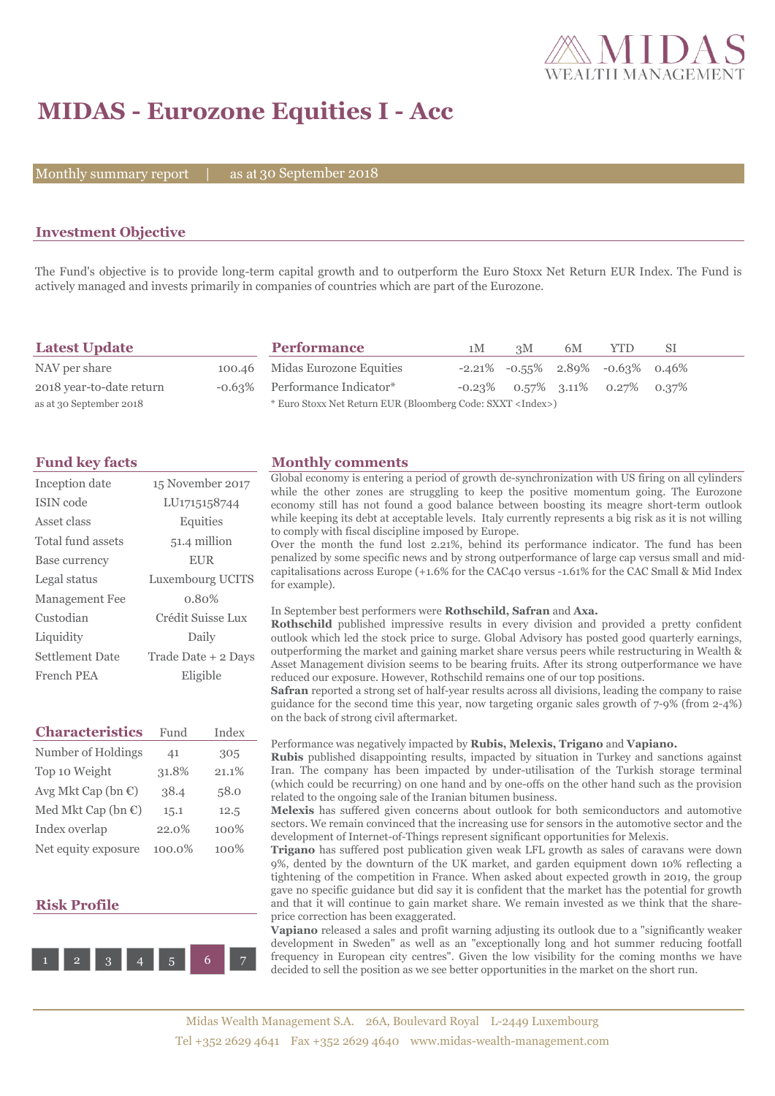

# **MIDAS - Eurozone Equities I - Acc**

Monthly summary report | as at 30 September 2018

## **Investment Objective**

The Fund's objective is to provide long-term capital growth and to outperform the Euro Stoxx Net Return EUR Index. The Fund is actively managed and invests primarily in companies of countries which are part of the Eurozone.

| <b>Latest Update</b>     | <b>Performance</b>                                                 | 1M | 3M | 6M | <b>YTD</b>                                      | -SI |
|--------------------------|--------------------------------------------------------------------|----|----|----|-------------------------------------------------|-----|
| NAV per share            | 100.46 Midas Eurozone Equities                                     |    |    |    | $-2.21\%$ $-0.55\%$ $2.89\%$ $-0.63\%$ $0.46\%$ |     |
| 2018 year-to-date return | -0.63% Performance Indicator*                                      |    |    |    | $-0.23\%$ 0.57% 3.11% 0.27% 0.37%               |     |
| as at 30 September 2018  | * Euro Stoxx Net Return EUR (Bloomberg Code: SXXT <index>)</index> |    |    |    |                                                 |     |

| Inception date        | 15 November 2017    |
|-----------------------|---------------------|
| ISIN code             | LU1715158744        |
| Asset class           | Equities            |
| Total fund assets     | 51.4 million        |
| Base currency         | <b>EUR</b>          |
| Legal status          | Luxembourg UCITS    |
| <b>Management Fee</b> | $0.80\%$            |
| Custodian             | Crédit Suisse Lux   |
| Liquidity             | Daily               |
| Settlement Date       | Trade Date + 2 Days |
| French PEA            | Eligible            |

| <b>Characteristics</b>         | Fund      | Index   |
|--------------------------------|-----------|---------|
| Number of Holdings             | 41        | 305     |
| Top 10 Weight                  | 31.8%     | 21.1%   |
| Avg Mkt Cap (bn $\mathbb{C}$ ) | 38.4      | 58.0    |
| Med Mkt Cap (bn $\mathbb{C}$ ) | 15.1      | 12.5    |
| Index overlap                  | 22.0%     | 100%    |
| Net equity exposure            | $100.0\%$ | $100\%$ |

## **Risk Profile**



#### **Fund key facts Monthly comments**

Global economy is entering a period of growth de-synchronization with US firing on all cylinders while the other zones are struggling to keep the positive momentum going. The Eurozone economy still has not found a good balance between boosting its meagre short-term outlook while keeping its debt at acceptable levels. Italy currently represents a big risk as it is not willing to comply with fiscal discipline imposed by Europe.

Over the month the fund lost 2.21%, behind its performance indicator. The fund has been penalized by some specific news and by strong outperformance of large cap versus small and midcapitalisations across Europe (+1.6% for the CAC40 versus -1.61% for the CAC Small & Mid Index for example).

#### In September best performers were **Rothschild, Safran** and **Axa.**

**Rothschild** published impressive results in every division and provided a pretty confident outlook which led the stock price to surge. Global Advisory has posted good quarterly earnings, outperforming the market and gaining market share versus peers while restructuring in Wealth & Asset Management division seems to be bearing fruits. After its strong outperformance we have reduced our exposure. However, Rothschild remains one of our top positions.

**Safran** reported a strong set of half-year results across all divisions, leading the company to raise guidance for the second time this year, now targeting organic sales growth of 7-9% (from 2-4%) on the back of strong civil aftermarket.

#### Performance was negatively impacted by **Rubis, Melexis, Trigano** and **Vapiano.**

**Rubis** published disappointing results, impacted by situation in Turkey and sanctions against Iran. The company has been impacted by under-utilisation of the Turkish storage terminal (which could be recurring) on one hand and by one-offs on the other hand such as the provision related to the ongoing sale of the Iranian bitumen business.

**Melexis** has suffered given concerns about outlook for both semiconductors and automotive sectors. We remain convinced that the increasing use for sensors in the automotive sector and the development of Internet-of-Things represent significant opportunities for Melexis.

**Trigano** has suffered post publication given weak LFL growth as sales of caravans were down 9%, dented by the downturn of the UK market, and garden equipment down 10% reflecting a tightening of the competition in France. When asked about expected growth in 2019, the group gave no specific guidance but did say it is confident that the market has the potential for growth and that it will continue to gain market share. We remain invested as we think that the shareprice correction has been exaggerated.

**Vapiano** released a sales and profit warning adjusting its outlook due to a "significantly weaker development in Sweden" as well as an "exceptionally long and hot summer reducing footfall frequency in European city centres". Given the low visibility for the coming months we have decided to sell the position as we see better opportunities in the market on the short run.